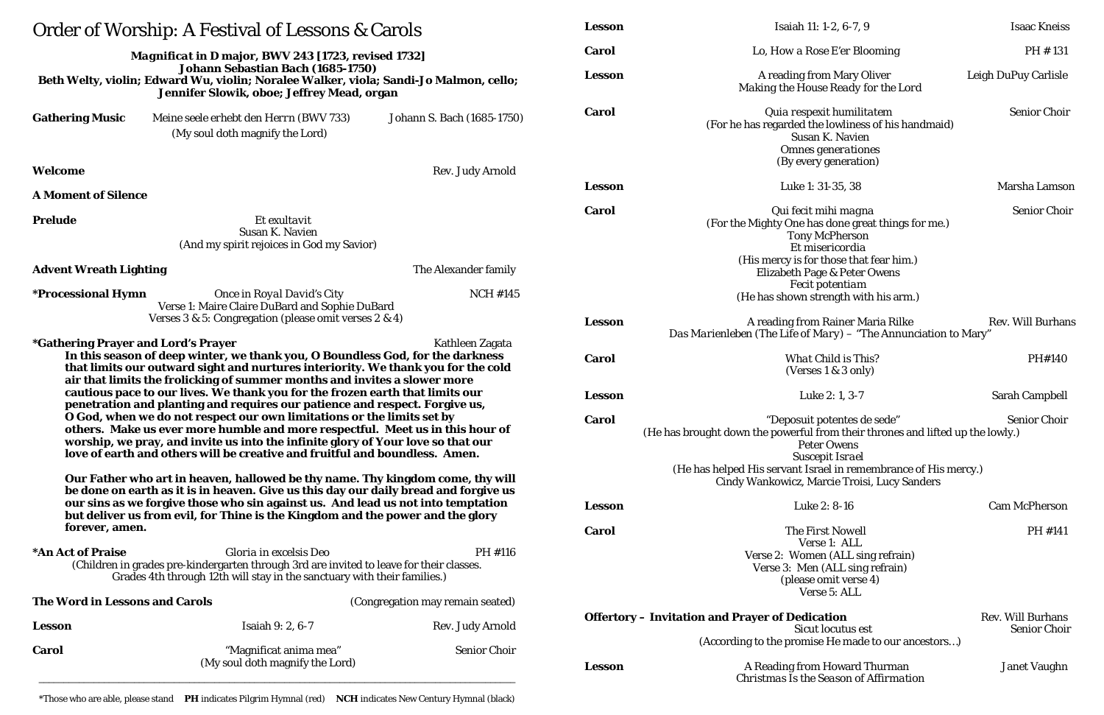| Order of Worship: A Festival of Lessons & Carols                                                                                                                                                                                                                                                                                                                                                                                                                                                                                                                             |                                                                                                                                                                                                                                                            |                                                       | <b>Lesson</b>                                                                        | Isaiah 11: 1-2, 6-7, 9                                                                                                                                                                                           |
|------------------------------------------------------------------------------------------------------------------------------------------------------------------------------------------------------------------------------------------------------------------------------------------------------------------------------------------------------------------------------------------------------------------------------------------------------------------------------------------------------------------------------------------------------------------------------|------------------------------------------------------------------------------------------------------------------------------------------------------------------------------------------------------------------------------------------------------------|-------------------------------------------------------|--------------------------------------------------------------------------------------|------------------------------------------------------------------------------------------------------------------------------------------------------------------------------------------------------------------|
| <b>Magnificat in D major, BWV 243 [1723, revised 1732]</b><br>Johann Sebastian Bach (1685-1750)<br>Beth Welty, violin; Edward Wu, violin; Noralee Walker, viola; Sandi-Jo Malmon, cello;<br>Jennifer Slowik, oboe; Jeffrey Mead, organ                                                                                                                                                                                                                                                                                                                                       |                                                                                                                                                                                                                                                            |                                                       | Carol                                                                                | Lo, How a Rose E'er Blooming                                                                                                                                                                                     |
|                                                                                                                                                                                                                                                                                                                                                                                                                                                                                                                                                                              |                                                                                                                                                                                                                                                            |                                                       | <b>Lesson</b>                                                                        | A reading from Mary Oliver<br>Making the House Ready for the Lord                                                                                                                                                |
| <b>Gathering Music</b><br>Welcome                                                                                                                                                                                                                                                                                                                                                                                                                                                                                                                                            | Meine seele erhebt den Herrn (BWV 733)<br>(My soul doth magnify the Lord)                                                                                                                                                                                  | Johann S. Bach (1685-1750)<br><b>Rev. Judy Arnold</b> | <b>Carol</b>                                                                         | Quia respexit humilitatem<br>(For he has regarded the lowliness of his hand<br><b>Susan K. Navien</b><br>Omnes generationes<br>(By every generation)                                                             |
| <b>A Moment of Silence</b>                                                                                                                                                                                                                                                                                                                                                                                                                                                                                                                                                   |                                                                                                                                                                                                                                                            |                                                       | <b>Lesson</b>                                                                        | Luke 1: 31-35, 38                                                                                                                                                                                                |
| <b>Prelude</b><br>Et exultavit<br>Susan K. Navien<br>(And my spirit rejoices in God my Savior)                                                                                                                                                                                                                                                                                                                                                                                                                                                                               |                                                                                                                                                                                                                                                            |                                                       | <b>Carol</b>                                                                         | Qui fecit mihi magna<br>(For the Mighty One has done great things for<br><b>Tony McPherson</b><br>Et misericordia<br>(His mercy is for those that fear him.)                                                     |
| <b>Advent Wreath Lighting</b>                                                                                                                                                                                                                                                                                                                                                                                                                                                                                                                                                |                                                                                                                                                                                                                                                            | The Alexander family                                  |                                                                                      | Elizabeth Page & Peter Owens<br><b>Fecit potentiam</b>                                                                                                                                                           |
| <i><b>*Processional Hymn</b></i><br>Once in Royal David's City<br><b>NCH #145</b><br>Verse 1: Maire Claire DuBard and Sophie DuBard<br>Verses 3 & 5: Congregation (please omit verses 2 & 4)<br>Kathleen Zagata                                                                                                                                                                                                                                                                                                                                                              |                                                                                                                                                                                                                                                            |                                                       |                                                                                      | (He has shown strength with his arm.)                                                                                                                                                                            |
|                                                                                                                                                                                                                                                                                                                                                                                                                                                                                                                                                                              |                                                                                                                                                                                                                                                            |                                                       | <b>Lesson</b>                                                                        | A reading from Rainer Maria Rilke<br>Das Marienleben (The Life of Mary) - "The Annuncia                                                                                                                          |
| <i><b>*Gathering Prayer and Lord's Prayer</b></i>                                                                                                                                                                                                                                                                                                                                                                                                                                                                                                                            | In this season of deep winter, we thank you, O Boundless God, for the darkness<br>that limits our outward sight and nurtures interiority. We thank you for the cold<br>air that limits the frolicking of summer months and invites a slower more           | <b>Carol</b>                                          | <b>What Child is This?</b><br>(Verses $1 \& 3$ only)                                 |                                                                                                                                                                                                                  |
| cautious pace to our lives. We thank you for the frozen earth that limits our<br>penetration and planting and requires our patience and respect. Forgive us,<br>O God, when we do not respect our own limitations or the limits set by<br>others. Make us ever more humble and more respectful. Meet us in this hour of<br>worship, we pray, and invite us into the infinite glory of Your love so that our<br>love of earth and others will be creative and fruitful and boundless. Amen.<br>Our Father who art in heaven, hallowed be thy name. Thy kingdom come, thy will |                                                                                                                                                                                                                                                            |                                                       | <b>Lesson</b><br>Carol                                                               | Luke 2: 1, 3-7<br>"Deposuit potentes de sede"<br>(He has brought down the powerful from their thrones and<br><b>Peter Owens</b><br><b>Suscepit Israel</b><br>(He has helped His servant Israel in remembrance of |
| forever, amen.                                                                                                                                                                                                                                                                                                                                                                                                                                                                                                                                                               | be done on earth as it is in heaven. Give us this day our daily bread and forgive us<br>our sins as we forgive those who sin against us. And lead us not into temptation<br>but deliver us from evil, for Thine is the Kingdom and the power and the glory | <b>Lesson</b><br><b>Carol</b>                         | Cindy Wankowicz, Marcie Troisi, Lucy Sand<br>Luke 2: 8-16<br><b>The First Nowell</b> |                                                                                                                                                                                                                  |
| *An Act of Praise<br>Gloria in excelsis Deo<br>(Children in grades pre-kindergarten through 3rd are invited to leave for their classes.<br>Grades 4th through 12th will stay in the sanctuary with their families.)                                                                                                                                                                                                                                                                                                                                                          |                                                                                                                                                                                                                                                            | PH #116                                               |                                                                                      | Verse 1: ALL<br>Verse 2: Women (ALL sing refrain)<br>Verse 3: Men (ALL sing refrain)<br>(please omit verse 4)<br>Verse 5: ALL                                                                                    |
| The Word in Lessons and Carols                                                                                                                                                                                                                                                                                                                                                                                                                                                                                                                                               |                                                                                                                                                                                                                                                            | (Congregation may remain seated)                      |                                                                                      |                                                                                                                                                                                                                  |
| <b>Lesson</b>                                                                                                                                                                                                                                                                                                                                                                                                                                                                                                                                                                | <b>Isaiah 9: 2, 6-7</b>                                                                                                                                                                                                                                    | Rev. Judy Arnold                                      |                                                                                      | <b>Offertory - Invitation and Prayer of Dedication</b><br><b>Sicut locutus est</b>                                                                                                                               |
| Carol                                                                                                                                                                                                                                                                                                                                                                                                                                                                                                                                                                        | "Magnificat anima mea"<br>(My soul doth magnify the Lord)                                                                                                                                                                                                  | <b>Senior Choir</b>                                   | <b>Lesson</b>                                                                        | (According to the promise He made to our ance<br>A Reading from Howard Thurman<br><b>Christmas Is the Season of Affirmation</b>                                                                                  |

| Lesson       | Isaiah 11: 1-2, 6-7, 9                                                                                                                                                                                                                                                                                  | <b>Isaac Kneiss</b>                             |  |  |
|--------------|---------------------------------------------------------------------------------------------------------------------------------------------------------------------------------------------------------------------------------------------------------------------------------------------------------|-------------------------------------------------|--|--|
| Carol        | Lo, How a Rose E'er Blooming                                                                                                                                                                                                                                                                            | PH #131                                         |  |  |
| Lesson       | A reading from Mary Oliver<br>Making the House Ready for the Lord                                                                                                                                                                                                                                       | Leigh DuPuy Carlisle                            |  |  |
| <b>Carol</b> | Quia respexit humilitatem<br>(For he has regarded the lowliness of his handmaid)<br><b>Susan K. Navien</b><br>Omnes generationes<br>(By every generation)                                                                                                                                               | <b>Senior Choir</b>                             |  |  |
| Lesson       | Luke 1: 31-35, 38                                                                                                                                                                                                                                                                                       | Marsha Lamson                                   |  |  |
| <b>Carol</b> | Qui fecit mihi magna<br>(For the Mighty One has done great things for me.)<br><b>Tony McPherson</b><br>Et misericordia<br>(His mercy is for those that fear him.)<br><b>Elizabeth Page &amp; Peter Owens</b><br><b>Fecit potentiam</b><br>(He has shown strength with his arm.)                         | <b>Senior Choir</b>                             |  |  |
| Lesson       | A reading from Rainer Maria Rilke<br><b>Rev. Will Burhans</b><br>Das Marienleben (The Life of Mary) - "The Annunciation to Mary"                                                                                                                                                                        |                                                 |  |  |
| <b>Carol</b> | <b>What Child is This?</b><br>(Verses $1 \& 3$ only)                                                                                                                                                                                                                                                    | PH#140                                          |  |  |
| Lesson       | Luke $2:1, 3-7$                                                                                                                                                                                                                                                                                         | <b>Sarah Campbell</b>                           |  |  |
| <b>Carol</b> | "Deposuit potentes de sede"<br><b>Senior Choir</b><br>(He has brought down the powerful from their thrones and lifted up the lowly.)<br><b>Peter Owens</b><br><b>Suscepit Israel</b><br>(He has helped His servant Israel in remembrance of His mercy.)<br>Cindy Wankowicz, Marcie Troisi, Lucy Sanders |                                                 |  |  |
| Lesson       | Luke 2: 8-16                                                                                                                                                                                                                                                                                            | <b>Cam McPherson</b>                            |  |  |
| <b>Carol</b> | <b>The First Nowell</b><br>Verse 1: ALL<br>Verse 2: Women (ALL sing refrain)<br>Verse 3: Men (ALL sing refrain)<br>(please omit verse 4)<br>Verse 5: ALL                                                                                                                                                | PH #141                                         |  |  |
|              | Offertory – Invitation and Prayer of Dedication<br><b>Sicut locutus est</b><br>(According to the promise He made to our ancestors)                                                                                                                                                                      | <b>Rev. Will Burhans</b><br><b>Senior Choir</b> |  |  |
| Lesson       | A Reading from Howard Thurman<br><b>Christmas Is the Season of Affirmation</b>                                                                                                                                                                                                                          | <b>Janet Vaughn</b>                             |  |  |

\*Those who are able, please stand **PH** indicates Pilgrim Hymnal (red) **NCH** indicates New Century Hymnal (black)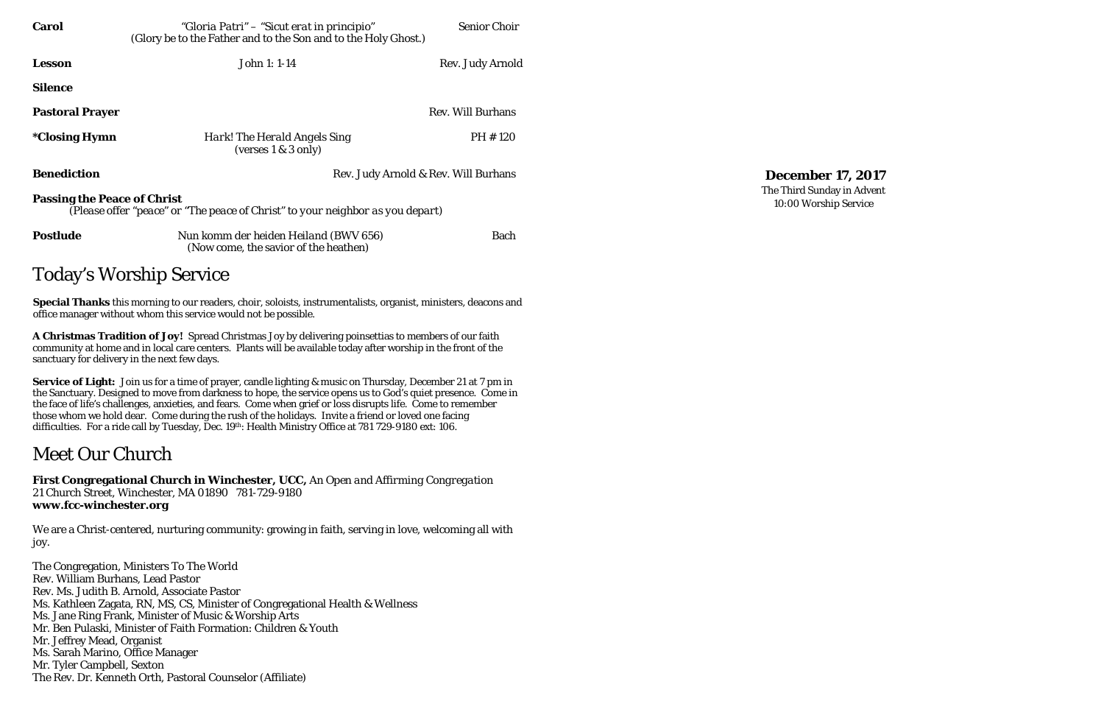| <b>Carol</b>                                                                                                         | "Gloria Patri" – "Sicut erat in principio"<br>(Glory be to the Father and to the Son and to the Holy Ghost.) | <b>Senior Choir</b>      |  |  |  |  |
|----------------------------------------------------------------------------------------------------------------------|--------------------------------------------------------------------------------------------------------------|--------------------------|--|--|--|--|
| <b>Lesson</b>                                                                                                        | John 1: 1-14                                                                                                 | Rev. Judy Arnold         |  |  |  |  |
| <b>Silence</b>                                                                                                       |                                                                                                              |                          |  |  |  |  |
| <b>Pastoral Prayer</b>                                                                                               |                                                                                                              | <b>Rev. Will Burhans</b> |  |  |  |  |
| <i><b>*Closing Hymn</b></i>                                                                                          | Hark! The Herald Angels Sing<br>(verses 1 & 3 only)                                                          | PH #120                  |  |  |  |  |
| <b>Benediction</b>                                                                                                   | Rev. Judy Arnold & Rev. Will Burhans                                                                         |                          |  |  |  |  |
| <b>Passing the Peace of Christ</b><br>(Please offer "peace" or "The peace of Christ" to your neighbor as you depart) |                                                                                                              |                          |  |  |  |  |
| <b>Postlude</b>                                                                                                      | Nun komm der heiden Heiland (BWV 656)<br>(Now come, the savior of the heathen)                               | <b>Bach</b>              |  |  |  |  |
| <b>Today's Worship Service</b>                                                                                       |                                                                                                              |                          |  |  |  |  |

**Service of Light:** Join us for a time of prayer, candle lighting & music on Thursday, December 21 at 7 pm in the Sanctuary. Designed to move from darkness to hope, the service opens us to God's quiet presence. Come in the face of life's challenges, anxieties, and fears. Come when grief or loss disrupts life. Come to remember those whom we hold dear. Come during the rush of the holidays. Invite a friend or loved one facing difficulties. For a ride call by Tuesday, Dec. 19th: Health Ministry Office at 781 729-9180 ext: 106.

**Special Thanks** this morning to our readers, choir, soloists, instrumentalists, organist, ministers, deacons and office manager without whom this service would not be possible.

**A Christmas Tradition of Joy!** Spread Christmas Joy by delivering poinsettias to members of our faith community at home and in local care centers. Plants will be available today after worship in the front of the sanctuary for delivery in the next few days.

# Meet Our Church

**First Congregational Church in Winchester, UCC,** *An Open and Affirming Congregation* 21 Church Street, Winchester, MA 01890 781-729-9180 **www.fcc-winchester.org**

We are a Christ-centered, nurturing community: growing in faith, serving in love, welcoming all with joy.

The Congregation, Ministers To The World Rev. William Burhans, Lead Pastor Rev. Ms. Judith B. Arnold, Associate Pastor Ms. Kathleen Zagata, RN, MS, CS, Minister of Congregational Health & Wellness Ms. Jane Ring Frank, Minister of Music & Worship Arts Mr. Ben Pulaski, Minister of Faith Formation: Children & Youth Mr. Jeffrey Mead, Organist Ms. Sarah Marino, Office Manager Mr. Tyler Campbell, Sexton The Rev. Dr. Kenneth Orth, Pastoral Counselor (Affiliate)

**December 17, 2017** The Third Sunday in Advent 10:00 Worship Service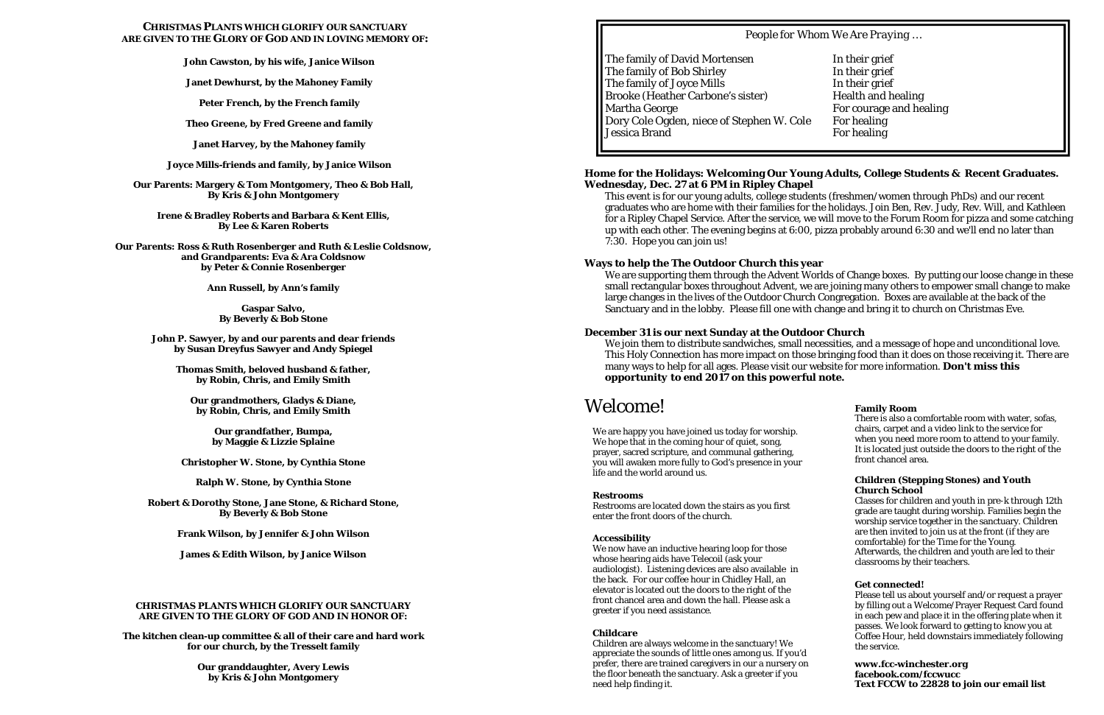# **CHRISTMAS PLANTS WHICH GLORIFY OUR SANCTUARY ARE GIVEN TO THE GLORY OF GOD AND IN LOVING MEMORY OF:**

**John Cawston, by his wife, Janice Wilson**

**Janet Dewhurst, by the Mahoney Family**

**Peter French, by the French family**

**Theo Greene, by Fred Greene and family**

**Janet Harvey, by the Mahoney family**

**Joyce Mills-friends and family, by Janice Wilson**

**Our Parents: Margery & Tom Montgomery, Theo & Bob Hall, By Kris & John Montgomery** 

**Irene & Bradley Roberts and Barbara & Kent Ellis, By Lee & Karen Roberts**

**Our Parents: Ross & Ruth Rosenberger and Ruth & Leslie Coldsnow, and Grandparents: Eva & Ara Coldsnow by Peter & Connie Rosenberger**

**Ann Russell, by Ann's family**

**Gaspar Salvo, By Beverly & Bob Stone**

**John P. Sawyer, by and our parents and dear friends by Susan Dreyfus Sawyer and Andy Spiegel**

**Thomas Smith, beloved husband & father, by Robin, Chris, and Emily Smith**

**Our grandmothers, Gladys & Diane, by Robin, Chris, and Emily Smith**

> **Our grandfather, Bumpa, by Maggie & Lizzie Splaine**

**Christopher W. Stone, by Cynthia Stone**

**Ralph W. Stone, by Cynthia Stone**

**Robert & Dorothy Stone, Jane Stone, & Richard Stone, By Beverly & Bob Stone**

**Frank Wilson, by Jennifer & John Wilson**

**James & Edith Wilson, by Janice Wilson**

## **CHRISTMAS PLANTS WHICH GLORIFY OUR SANCTUARY ARE GIVEN TO THE GLORY OF GOD AND IN HONOR OF:**

**The kitchen clean-up committee & all of their care and hard work for our church, by the Tresselt family**

> **Our granddaughter, Avery Lewis by Kris & John Montgomery**

The family of David Mortensen In their grief The family of Bob Shirley In their grief The family of Joyce Mills In their grief Brooke (Heather Carbone's sister) Health and healing Martha George **For courage and healing** Dory Cole Ogden, niece of Stephen W. Cole For healing Jessica Brand For healing

## **Home for the Holidays: Welcoming Our Young Adults, College Students & Recent Graduates. Wednesday, Dec. 27 at 6 PM in Ripley Chapel**

This event is for our young adults, college students (freshmen/women through PhDs) and our recent graduates who are home with their families for the holidays. Join Ben, Rev. Judy, Rev. Will, and Kathleen for a Ripley Chapel Service. After the service, we will move to the Forum Room for pizza and some catching up with each other. The evening begins at 6:00, pizza probably around 6:30 and we'll end no later than 7:30. Hope you can join us!

**Ways to help the The Outdoor Church this year**

We are supporting them through the Advent Worlds of Change boxes. By putting our loose change in these small rectangular boxes throughout Advent, we are joining many others to empower small change to make large changes in the lives of the Outdoor Church Congregation. Boxes are available at the back of the Sanctuary and in the lobby. Please fill one with change and bring it to church on Christmas Eve.

# **December 31 is our next Sunday at the Outdoor Church**

We join them to distribute sandwiches, small necessities, and a message of hope and unconditional love. This Holy Connection has more impact on those bringing food than it does on those receiving it. There are many ways to help for all ages. Please visit our website for more information. *Don't miss this opportunity to end 2017 on this powerful note.*

# Welcome!

We are happy you have joined us today for worship. We hope that in the coming hour of quiet, song, prayer, sacred scripture, and communal gathering, you will awaken more fully to God's presence in your life and the world around us.

### **Restrooms**

Restrooms are located down the stairs as you first enter the front doors of the church.

### **Accessibility**

We now have an inductive hearing loop for those whose hearing aids have Telecoil (ask your audiologist). Listening devices are also available in the back. For our coffee hour in Chidley Hall, an elevator is located out the doors to the right of the front chancel area and down the hall. Please ask a greeter if you need assistance.

### **Childcare**

Children are always welcome in the sanctuary! We appreciate the sounds of little ones among us. If you'd prefer, there are trained caregivers in our a nursery on the floor beneath the sanctuary. Ask a greeter if you need help finding it.

# **Family Room**

There is also a comfortable room with water, sofas, chairs, carpet and a video link to the service for when you need more room to attend to your family. It is located just outside the doors to the right of the front chancel area.

## **Children (Stepping Stones) and Youth Church School**

Classes for children and youth in pre-k through 12th grade are taught during worship. Families begin the worship service together in the sanctuary. Children are then invited to join us at the front (if they are comfortable) for the Time for the Young. Afterwards, the children and youth are led to their classrooms by their teachers.

## **Get connected!**

Please tell us about yourself and/or request a prayer by filling out a Welcome/Prayer Request Card found in each pew and place it in the offering plate when it passes. We look forward to getting to know you at Coffee Hour, held downstairs immediately following the service.

**www.fcc-winchester.org facebook.com/fccwucc Text FCCW to 22828 to join our email list**

*People for Whom We Are Praying …*